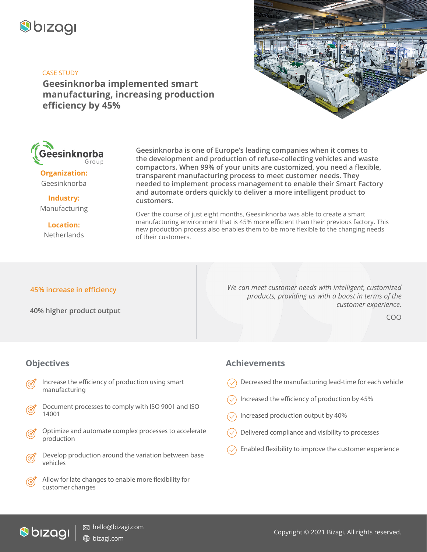

#### CASE STUDY

**Geesinknorba implemented smart manufacturing, increasing production efficiency by 45%**





**Organization:** Geesinknorba

**Industry:** Manufacturing

**Location: Netherlands** 

**Geesinknorba is one of Europe's leading companies when it comes to the development and production of refuse-collecting vehicles and waste compactors. When 99% of your units are customized, you need a flexible, transparent manufacturing process to meet customer needs. They needed to implement process management to enable their Smart Factory and automate orders quickly to deliver a more intelligent product to customers.** 

Over the course of just eight months, Geesinknorba was able to create a smart manufacturing environment that is 45% more efficient than their previous factory. This new production process also enables them to be more flexible to the changing needs of their customers.

#### **45% increase in efficiency**

**40% higher product output** 

*We can meet customer needs with intelligent, customized products, providing us with a boost in terms of the customer experience.* 

COO

### **Objectives**

- Increase the efficiency of production using smart manufacturing
- Document processes to comply with ISO 9001 and ISO 14001
- Optimize and automate complex processes to accelerate production
- Develop production around the variation between base vehicles
	- Allow for late changes to enable more flexibility for customer changes

#### **Achievements**

- Decreased the manufacturing lead-time for each vehicle
- Increased the efficiency of production by 45%
- Increased production output by 40%
- Delivered compliance and visibility to processes
- Enabled flexibility to improve the customer experience